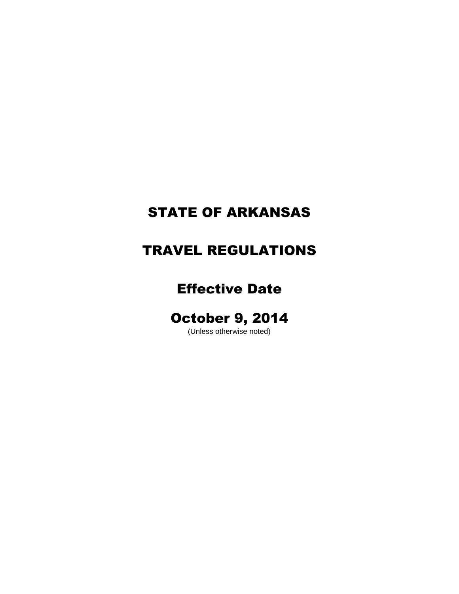# STATE OF ARKANSAS

## TRAVEL REGULATIONS

## Effective Date

## October 9, 2014

(Unless otherwise noted)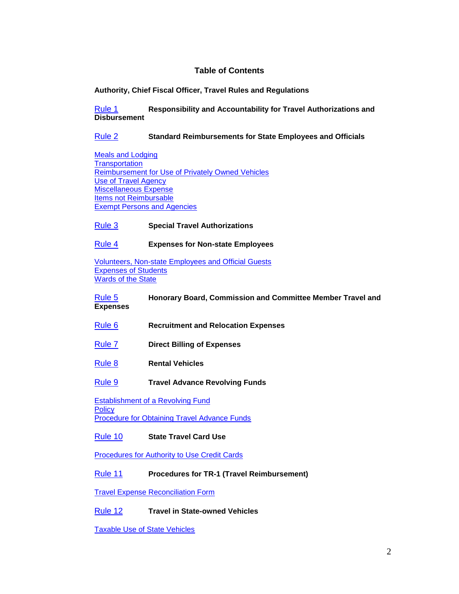### **Table of Contents**

#### **Authority, Chief Fiscal Officer, Travel Rules and Regulations**

[Rule 1](#page-3-0) **Responsibility and Accountability for Travel Authorizations and Disbursement**

#### [Rule 2](#page-4-0) **Standard Reimbursements for State Employees and Officials**

[Meals and Lodging](#page-4-1) **[Transportation](#page-6-0)** [Reimbursement for Use of Privately Owned](#page-6-1) Vehicles [Use of Travel Agency](#page-6-2) [Miscellaneous Expense](#page-7-0) [Items not Reimbursable](#page-7-1) **[Exempt Persons and Agencies](#page-7-2)** 

#### [Rule 3](#page-7-3) **Special Travel Authorizations**

#### [Rule 4](#page-8-0) **Expenses for Non-state Employees**

[Volunteers, Non-state Employees and Official](#page-8-1) Guests [Expenses of Students](#page-8-2) [Wards of the State](#page-9-0)

[Rule 5](#page-9-1) **Honorary Board, Commission and Committee Member Travel and Expenses**

- [Rule 6](#page-9-2) **Recruitment and Relocation Expenses**
- [Rule 7](#page-10-0) **Direct Billing of Expenses**
- [Rule 8](#page-11-0) **Rental Vehicles**
- [Rule 9](#page-11-1) **Travel Advance Revolving Funds**

[Establishment of a Revolving Fund](#page-11-2) **[Policy](#page-12-0)** [Procedure for Obtaining Travel Advance Funds](#page-13-0)

#### [Rule 10](#page-13-1) **State Travel Card Use**

[Procedures for Authority to Use Credit Cards](#page-13-2)

#### [Rule 11](#page-14-0) **Procedures for TR-1 (Travel Reimbursement)**

[Travel Expense Reconciliation Form](#page-15-0)

#### [Rule 12](#page-16-0) **Travel in State-owned Vehicles**

[Taxable Use of State Vehicles](#page-17-0)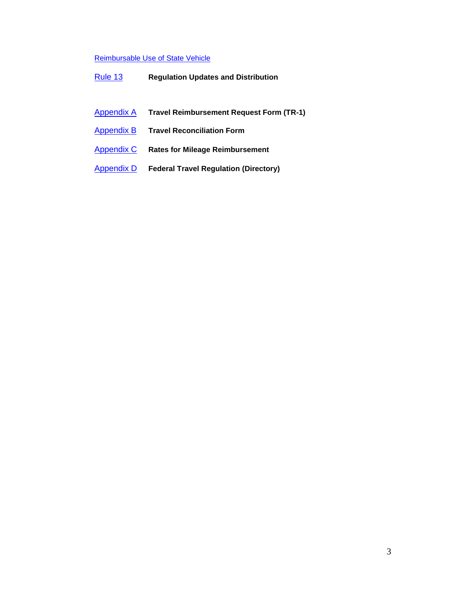## [Reimbursable Use of State Vehicle](#page-17-1)

- Appendix A **Travel Reimbursement Request Form (TR-1)**
- [Appendix B](#page-19-0) **Travel Reconciliation Form**
- [Appendix C](#page-19-1) **Rates for Mileage Reimbursement**
- [Appendix D](#page-19-2) **Federal Travel Regulation (Directory)**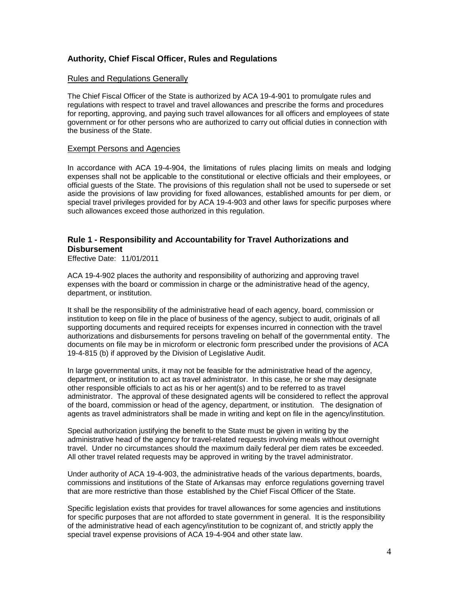## **Authority, Chief Fiscal Officer, Rules and Regulations**

#### Rules and Regulations Generally

The Chief Fiscal Officer of the State is authorized by ACA 19-4-901 to promulgate rules and regulations with respect to travel and travel allowances and prescribe the forms and procedures for reporting, approving, and paying such travel allowances for all officers and employees of state government or for other persons who are authorized to carry out official duties in connection with the business of the State.

#### Exempt Persons and Agencies

In accordance with ACA 19-4-904, the limitations of rules placing limits on meals and lodging expenses shall not be applicable to the constitutional or elective officials and their employees, or official guests of the State. The provisions of this regulation shall not be used to supersede or set aside the provisions of law providing for fixed allowances, established amounts for per diem, or special travel privileges provided for by ACA 19-4-903 and other laws for specific purposes where such allowances exceed those authorized in this regulation.

## <span id="page-3-0"></span>**Rule 1 - Responsibility and Accountability for Travel Authorizations and Disbursement**

Effective Date: 11/01/2011

ACA 19-4-902 places the authority and responsibility of authorizing and approving travel expenses with the board or commission in charge or the administrative head of the agency, department, or institution.

It shall be the responsibility of the administrative head of each agency, board, commission or institution to keep on file in the place of business of the agency, subject to audit, originals of all supporting documents and required receipts for expenses incurred in connection with the travel authorizations and disbursements for persons traveling on behalf of the governmental entity. The documents on file may be in microform or electronic form prescribed under the provisions of ACA 19-4-815 (b) if approved by the Division of Legislative Audit.

In large governmental units, it may not be feasible for the administrative head of the agency, department, or institution to act as travel administrator. In this case, he or she may designate other responsible officials to act as his or her agent(s) and to be referred to as travel administrator. The approval of these designated agents will be considered to reflect the approval of the board, commission or head of the agency, department, or institution. The designation of agents as travel administrators shall be made in writing and kept on file in the agency/institution.

Special authorization justifying the benefit to the State must be given in writing by the administrative head of the agency for travel-related requests involving meals without overnight travel. Under no circumstances should the maximum daily federal per diem rates be exceeded. All other travel related requests may be approved in writing by the travel administrator.

Under authority of ACA 19-4-903, the administrative heads of the various departments, boards, commissions and institutions of the State of Arkansas may enforce regulations governing travel that are more restrictive than those established by the Chief Fiscal Officer of the State.

Specific legislation exists that provides for travel allowances for some agencies and institutions for specific purposes that are not afforded to state government in general. It is the responsibility of the administrative head of each agency/institution to be cognizant of, and strictly apply the special travel expense provisions of ACA 19-4-904 and other state law.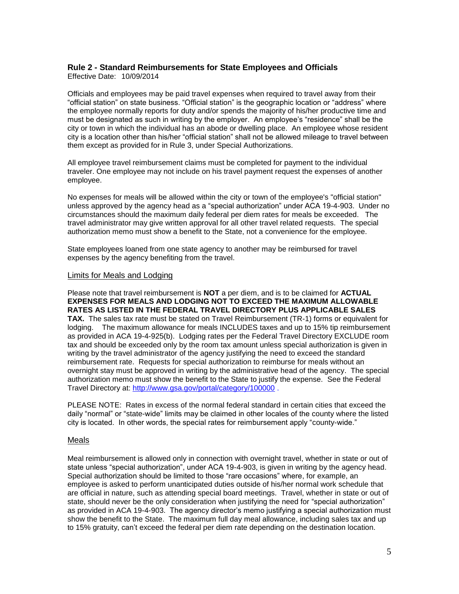## <span id="page-4-0"></span>**Rule 2 - Standard Reimbursements for State Employees and Officials**

Effective Date: 10/09/2014

Officials and employees may be paid travel expenses when required to travel away from their "official station" on state business. "Official station" is the geographic location or "address" where the employee normally reports for duty and/or spends the majority of his/her productive time and must be designated as such in writing by the employer. An employee's "residence" shall be the city or town in which the individual has an abode or dwelling place. An employee whose resident city is a location other than his/her "official station" shall not be allowed mileage to travel between them except as provided for in Rule 3, under Special Authorizations.

All employee travel reimbursement claims must be completed for payment to the individual traveler. One employee may not include on his travel payment request the expenses of another employee.

No expenses for meals will be allowed within the city or town of the employee's "official station" unless approved by the agency head as a "special authorization" under ACA 19-4-903. Under no circumstances should the maximum daily federal per diem rates for meals be exceeded. The travel administrator may give written approval for all other travel related requests. The special authorization memo must show a benefit to the State, not a convenience for the employee.

State employees loaned from one state agency to another may be reimbursed for travel expenses by the agency benefiting from the travel.

#### <span id="page-4-1"></span>Limits for Meals and Lodging

Please note that travel reimbursement is **NOT** a per diem, and is to be claimed for **ACTUAL EXPENSES FOR MEALS AND LODGING NOT TO EXCEED THE MAXIMUM ALLOWABLE RATES AS LISTED IN THE FEDERAL TRAVEL DIRECTORY PLUS APPLICABLE SALES TAX.** The sales tax rate must be stated on Travel Reimbursement (TR-1) forms or equivalent for lodging. The maximum allowance for meals INCLUDES taxes and up to 15% tip reimbursement as provided in ACA 19-4-925(b). Lodging rates per the Federal Travel Directory EXCLUDE room tax and should be exceeded only by the room tax amount unless special authorization is given in writing by the travel administrator of the agency justifying the need to exceed the standard reimbursement rate. Requests for special authorization to reimburse for meals without an overnight stay must be approved in writing by the administrative head of the agency. The special authorization memo must show the benefit to the State to justify the expense. See the Federal Travel Directory at: <http://www.gsa.gov/portal/category/100000> .

PLEASE NOTE: Rates in excess of the normal federal standard in certain cities that exceed the daily "normal" or "state-wide" limits may be claimed in other locales of the county where the listed city is located. In other words, the special rates for reimbursement apply "county-wide."

#### Meals

Meal reimbursement is allowed only in connection with overnight travel, whether in state or out of state unless "special authorization", under ACA 19-4-903, is given in writing by the agency head. Special authorization should be limited to those "rare occasions" where, for example, an employee is asked to perform unanticipated duties outside of his/her normal work schedule that are official in nature, such as attending special board meetings. Travel, whether in state or out of state, should never be the only consideration when justifying the need for "special authorization" as provided in ACA 19-4-903. The agency director's memo justifying a special authorization must show the benefit to the State. The maximum full day meal allowance, including sales tax and up to 15% gratuity, can't exceed the federal per diem rate depending on the destination location.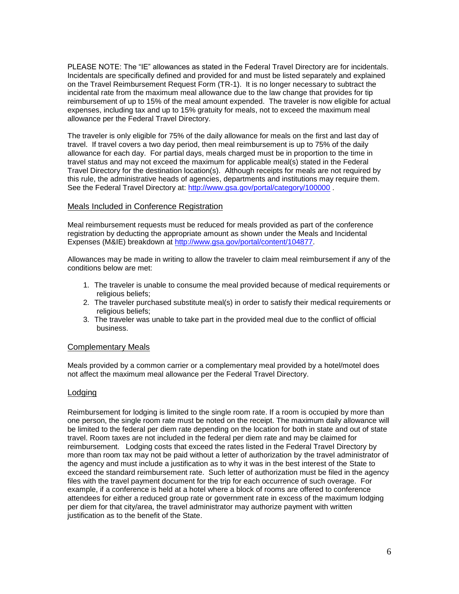PLEASE NOTE: The "IE" allowances as stated in the Federal Travel Directory are for incidentals. Incidentals are specifically defined and provided for and must be listed separately and explained on the Travel Reimbursement Request Form (TR-1). It is no longer necessary to subtract the incidental rate from the maximum meal allowance due to the law change that provides for tip reimbursement of up to 15% of the meal amount expended. The traveler is now eligible for actual expenses, including tax and up to 15% gratuity for meals, not to exceed the maximum meal allowance per the Federal Travel Directory.

The traveler is only eligible for 75% of the daily allowance for meals on the first and last day of travel. If travel covers a two day period, then meal reimbursement is up to 75% of the daily allowance for each day. For partial days, meals charged must be in proportion to the time in travel status and may not exceed the maximum for applicable meal(s) stated in the Federal Travel Directory for the destination location(s). Although receipts for meals are not required by this rule, the administrative heads of agencies, departments and institutions may require them. See the Federal Travel Directory at:<http://www.gsa.gov/portal/category/100000>

#### Meals Included in Conference Registration

Meal reimbursement requests must be reduced for meals provided as part of the conference registration by deducting the appropriate amount as shown under the Meals and Incidental Expenses (M&IE) breakdown at [http://www.gsa.gov/portal/content/104877.](http://www.gsa.gov/portal/content/104877)

Allowances may be made in writing to allow the traveler to claim meal reimbursement if any of the conditions below are met:

- 1. The traveler is unable to consume the meal provided because of medical requirements or religious beliefs;
- 2. The traveler purchased substitute meal(s) in order to satisfy their medical requirements or religious beliefs;
- 3. The traveler was unable to take part in the provided meal due to the conflict of official business.

#### Complementary Meals

Meals provided by a common carrier or a complementary meal provided by a hotel/motel does not affect the maximum meal allowance per the Federal Travel Directory.

#### Lodging

Reimbursement for lodging is limited to the single room rate. If a room is occupied by more than one person, the single room rate must be noted on the receipt. The maximum daily allowance will be limited to the federal per diem rate depending on the location for both in state and out of state travel. Room taxes are not included in the federal per diem rate and may be claimed for reimbursement. Lodging costs that exceed the rates listed in the Federal Travel Directory by more than room tax may not be paid without a letter of authorization by the travel administrator of the agency and must include a justification as to why it was in the best interest of the State to exceed the standard reimbursement rate. Such letter of authorization must be filed in the agency files with the travel payment document for the trip for each occurrence of such overage. For example, if a conference is held at a hotel where a block of rooms are offered to conference attendees for either a reduced group rate or government rate in excess of the maximum lodging per diem for that city/area, the travel administrator may authorize payment with written justification as to the benefit of the State.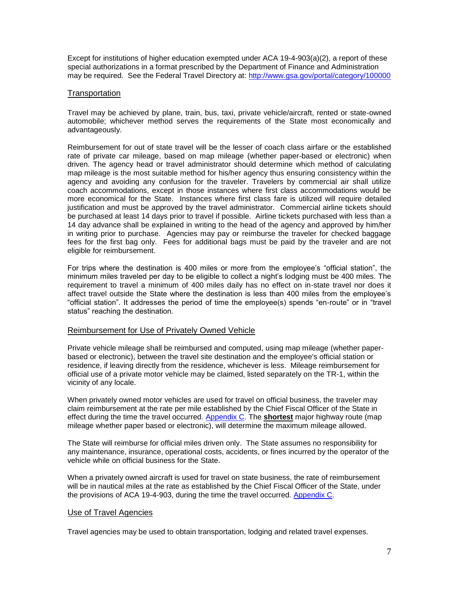Except for institutions of higher education exempted under ACA 19-4-903(a)(2), a report of these special authorizations in a format prescribed by the Department of Finance and Administration may be required. See the Federal Travel Directory at:<http://www.gsa.gov/portal/category/100000>

#### <span id="page-6-0"></span>**Transportation**

Travel may be achieved by plane, train, bus, taxi, private vehicle/aircraft, rented or state-owned automobile; whichever method serves the requirements of the State most economically and advantageously.

Reimbursement for out of state travel will be the lesser of coach class airfare or the established rate of private car mileage, based on map mileage (whether paper-based or electronic) when driven. The agency head or travel administrator should determine which method of calculating map mileage is the most suitable method for his/her agency thus ensuring consistency within the agency and avoiding any confusion for the traveler. Travelers by commercial air shall utilize coach accommodations, except in those instances where first class accommodations would be more economical for the State. Instances where first class fare is utilized will require detailed justification and must be approved by the travel administrator. Commercial airline tickets should be purchased at least 14 days prior to travel if possible. Airline tickets purchased with less than a 14 day advance shall be explained in writing to the head of the agency and approved by him/her in writing prior to purchase. Agencies may pay or reimburse the traveler for checked baggage fees for the first bag only. Fees for additional bags must be paid by the traveler and are not eligible for reimbursement.

For trips where the destination is 400 miles or more from the employee's "official station", the minimum miles traveled per day to be eligible to collect a night's lodging must be 400 miles. The requirement to travel a minimum of 400 miles daily has no effect on in-state travel nor does it affect travel outside the State where the destination is less than 400 miles from the employee's "official station". It addresses the period of time the employee(s) spends "en-route" or in "travel status" reaching the destination.

#### <span id="page-6-1"></span>Reimbursement for Use of Privately Owned Vehicle

Private vehicle mileage shall be reimbursed and computed, using map mileage (whether paperbased or electronic), between the travel site destination and the employee's official station or residence, if leaving directly from the residence, whichever is less. Mileage reimbursement for official use of a private motor vehicle may be claimed, listed separately on the TR-1, within the vicinity of any locale.

When privately owned motor vehicles are used for travel on official business, the traveler may claim reimbursement at the rate per mile established by the Chief Fiscal Officer of the State in effect during the time the travel occurred. [Appendix C.](#page-19-1) The **shortest** major highway route (map mileage whether paper based or electronic), will determine the maximum mileage allowed.

The State will reimburse for official miles driven only. The State assumes no responsibility for any maintenance, insurance, operational costs, accidents, or fines incurred by the operator of the vehicle while on official business for the State.

When a privately owned aircraft is used for travel on state business, the rate of reimbursement will be in nautical miles at the rate as established by the Chief Fiscal Officer of the State, under the provisions of ACA 19-4-903, during the time the travel occurred. [Appendix C.](#page-19-1)

#### <span id="page-6-2"></span>Use of Travel Agencies

Travel agencies may be used to obtain transportation, lodging and related travel expenses.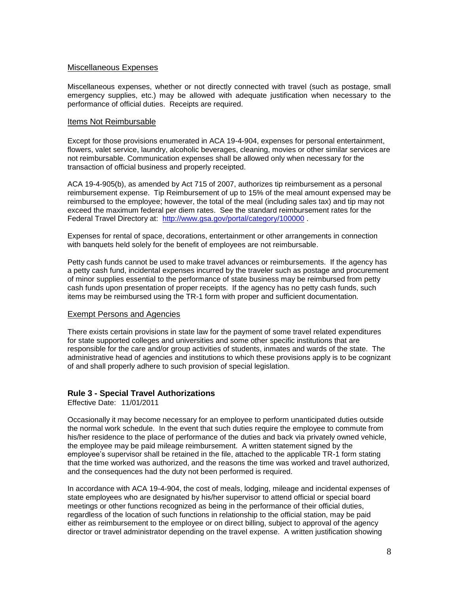#### <span id="page-7-0"></span>Miscellaneous Expenses

Miscellaneous expenses, whether or not directly connected with travel (such as postage, small emergency supplies, etc.) may be allowed with adequate justification when necessary to the performance of official duties. Receipts are required.

#### <span id="page-7-1"></span>Items Not Reimbursable

Except for those provisions enumerated in ACA 19-4-904, expenses for personal entertainment, flowers, valet service, laundry, alcoholic beverages, cleaning, movies or other similar services are not reimbursable. Communication expenses shall be allowed only when necessary for the transaction of official business and properly receipted.

ACA 19-4-905(b), as amended by Act 715 of 2007, authorizes tip reimbursement as a personal reimbursement expense. Tip Reimbursement of up to 15% of the meal amount expensed may be reimbursed to the employee; however, the total of the meal (including sales tax) and tip may not exceed the maximum federal per diem rates. See the standard reimbursement rates for the Federal Travel Directory at: <http://www.gsa.gov/portal/category/100000> .

Expenses for rental of space, decorations, entertainment or other arrangements in connection with banquets held solely for the benefit of employees are not reimbursable.

Petty cash funds cannot be used to make travel advances or reimbursements. If the agency has a petty cash fund, incidental expenses incurred by the traveler such as postage and procurement of minor supplies essential to the performance of state business may be reimbursed from petty cash funds upon presentation of proper receipts. If the agency has no petty cash funds, such items may be reimbursed using the TR-1 form with proper and sufficient documentation.

#### <span id="page-7-2"></span>Exempt Persons and Agencies

There exists certain provisions in state law for the payment of some travel related expenditures for state supported colleges and universities and some other specific institutions that are responsible for the care and/or group activities of students, inmates and wards of the state. The administrative head of agencies and institutions to which these provisions apply is to be cognizant of and shall properly adhere to such provision of special legislation.

#### <span id="page-7-3"></span>**Rule 3 - Special Travel Authorizations**

Effective Date: 11/01/2011

Occasionally it may become necessary for an employee to perform unanticipated duties outside the normal work schedule. In the event that such duties require the employee to commute from his/her residence to the place of performance of the duties and back via privately owned vehicle, the employee may be paid mileage reimbursement. A written statement signed by the employee's supervisor shall be retained in the file, attached to the applicable TR-1 form stating that the time worked was authorized, and the reasons the time was worked and travel authorized, and the consequences had the duty not been performed is required.

In accordance with ACA 19-4-904, the cost of meals, lodging, mileage and incidental expenses of state employees who are designated by his/her supervisor to attend official or special board meetings or other functions recognized as being in the performance of their official duties, regardless of the location of such functions in relationship to the official station, may be paid either as reimbursement to the employee or on direct billing, subject to approval of the agency director or travel administrator depending on the travel expense. A written justification showing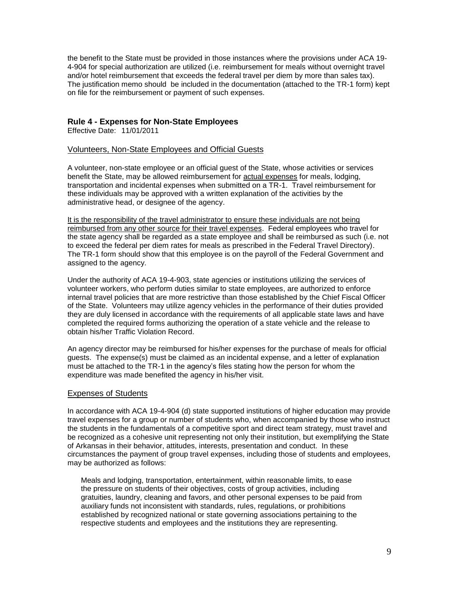the benefit to the State must be provided in those instances where the provisions under ACA 19- 4-904 for special authorization are utilized (i.e. reimbursement for meals without overnight travel and/or hotel reimbursement that exceeds the federal travel per diem by more than sales tax). The justification memo should be included in the documentation (attached to the TR-1 form) kept on file for the reimbursement or payment of such expenses.

#### <span id="page-8-0"></span>**Rule 4 - Expenses for Non-State Employees**

Effective Date: 11/01/2011

#### <span id="page-8-1"></span>Volunteers, Non-State Employees and Official Guests

A volunteer, non-state employee or an official guest of the State, whose activities or services benefit the State, may be allowed reimbursement for actual expenses for meals, lodging, transportation and incidental expenses when submitted on a TR-1. Travel reimbursement for these individuals may be approved with a written explanation of the activities by the administrative head, or designee of the agency.

It is the responsibility of the travel administrator to ensure these individuals are not being reimbursed from any other source for their travel expenses. Federal employees who travel for the state agency shall be regarded as a state employee and shall be reimbursed as such (i.e. not to exceed the federal per diem rates for meals as prescribed in the Federal Travel Directory). The TR-1 form should show that this employee is on the payroll of the Federal Government and assigned to the agency.

Under the authority of ACA 19-4-903, state agencies or institutions utilizing the services of volunteer workers, who perform duties similar to state employees, are authorized to enforce internal travel policies that are more restrictive than those established by the Chief Fiscal Officer of the State. Volunteers may utilize agency vehicles in the performance of their duties provided they are duly licensed in accordance with the requirements of all applicable state laws and have completed the required forms authorizing the operation of a state vehicle and the release to obtain his/her Traffic Violation Record.

An agency director may be reimbursed for his/her expenses for the purchase of meals for official guests. The expense(s) must be claimed as an incidental expense, and a letter of explanation must be attached to the TR-1 in the agency's files stating how the person for whom the expenditure was made benefited the agency in his/her visit.

#### <span id="page-8-2"></span>Expenses of Students

In accordance with ACA 19-4-904 (d) state supported institutions of higher education may provide travel expenses for a group or number of students who, when accompanied by those who instruct the students in the fundamentals of a competitive sport and direct team strategy, must travel and be recognized as a cohesive unit representing not only their institution, but exemplifying the State of Arkansas in their behavior, attitudes, interests, presentation and conduct. In these circumstances the payment of group travel expenses, including those of students and employees, may be authorized as follows:

Meals and lodging, transportation, entertainment, within reasonable limits, to ease the pressure on students of their objectives, costs of group activities, including gratuities, laundry, cleaning and favors, and other personal expenses to be paid from auxiliary funds not inconsistent with standards, rules, regulations, or prohibitions established by recognized national or state governing associations pertaining to the respective students and employees and the institutions they are representing.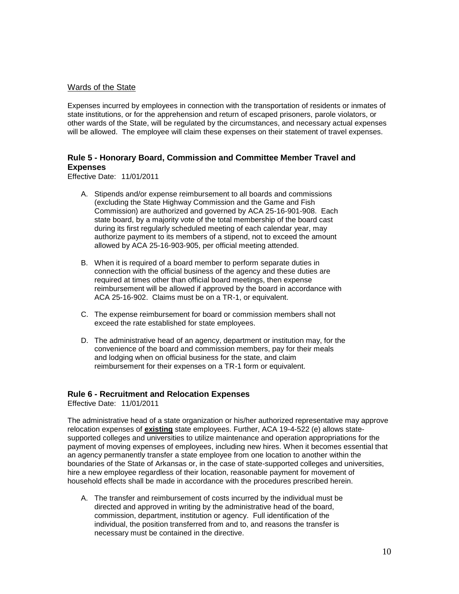#### <span id="page-9-0"></span>Wards of the State

Expenses incurred by employees in connection with the transportation of residents or inmates of state institutions, or for the apprehension and return of escaped prisoners, parole violators, or other wards of the State, will be regulated by the circumstances, and necessary actual expenses will be allowed. The employee will claim these expenses on their statement of travel expenses.

## <span id="page-9-1"></span>**Rule 5 - Honorary Board, Commission and Committee Member Travel and Expenses**

Effective Date: 11/01/2011

- A. Stipends and/or expense reimbursement to all boards and commissions (excluding the State Highway Commission and the Game and Fish Commission) are authorized and governed by ACA 25-16-901-908. Each state board, by a majority vote of the total membership of the board cast during its first regularly scheduled meeting of each calendar year, may authorize payment to its members of a stipend, not to exceed the amount allowed by ACA 25-16-903-905, per official meeting attended.
- B. When it is required of a board member to perform separate duties in connection with the official business of the agency and these duties are required at times other than official board meetings, then expense reimbursement will be allowed if approved by the board in accordance with ACA 25-16-902. Claims must be on a TR-1, or equivalent.
- C. The expense reimbursement for board or commission members shall not exceed the rate established for state employees.
- D. The administrative head of an agency, department or institution may, for the convenience of the board and commission members, pay for their meals and lodging when on official business for the state, and claim reimbursement for their expenses on a TR-1 form or equivalent.

#### <span id="page-9-2"></span>**Rule 6 - Recruitment and Relocation Expenses**

Effective Date: 11/01/2011

The administrative head of a state organization or his/her authorized representative may approve relocation expenses of **existing** state employees. Further, ACA 19-4-522 (e) allows statesupported colleges and universities to utilize maintenance and operation appropriations for the payment of moving expenses of employees, including new hires. When it becomes essential that an agency permanently transfer a state employee from one location to another within the boundaries of the State of Arkansas or, in the case of state-supported colleges and universities, hire a new employee regardless of their location, reasonable payment for movement of household effects shall be made in accordance with the procedures prescribed herein.

A. The transfer and reimbursement of costs incurred by the individual must be directed and approved in writing by the administrative head of the board, commission, department, institution or agency. Full identification of the individual, the position transferred from and to, and reasons the transfer is necessary must be contained in the directive.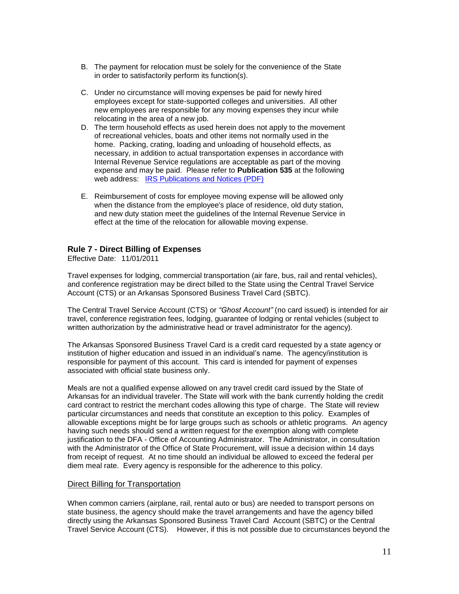- B. The payment for relocation must be solely for the convenience of the State in order to satisfactorily perform its function(s).
- C. Under no circumstance will moving expenses be paid for newly hired employees except for state-supported colleges and universities. All other new employees are responsible for any moving expenses they incur while relocating in the area of a new job.
- D. The term household effects as used herein does not apply to the movement of recreational vehicles, boats and other items not normally used in the home. Packing, crating, loading and unloading of household effects, as necessary, in addition to actual transportation expenses in accordance with [Internal Revenue Service regulations](http://www.irs.gov/formspubs/display/0,,i1%3D50%26genericId%3D79361,00.html) are acceptable as part of the moving expense and may be paid. Please refer to **Publication 535** at the following web address: [IRS Publications and Notices \(PDF\)](http://www.irs.gov/app/picklist/list/publicationsNoticesPdf.html?indexOfFirstRow=50&sortColumn=sortOrder&value=&criteria=&resultsPerPage=25&isDescending=false)
- E. Reimbursement of costs for employee moving expense will be allowed only when the distance from the employee's place of residence, old duty station, and new duty station meet the guidelines of the Internal Revenue Service in effect at the time of the relocation for allowable moving expense.

#### <span id="page-10-0"></span>**Rule 7 - Direct Billing of Expenses**

Effective Date: 11/01/2011

Travel expenses for lodging, commercial transportation (air fare, bus, rail and rental vehicles), and conference registration may be direct billed to the State using the Central Travel Service Account (CTS) or an Arkansas Sponsored Business Travel Card (SBTC).

The Central Travel Service Account (CTS) or *"Ghost Account"* (no card issued) is intended for air travel, conference registration fees, lodging, guarantee of lodging or rental vehicles (subject to written authorization by the administrative head or travel administrator for the agency).

The Arkansas Sponsored Business Travel Card is a credit card requested by a state agency or institution of higher education and issued in an individual's name. The agency/institution is responsible for payment of this account. This card is intended for payment of expenses associated with official state business only.

Meals are not a qualified expense allowed on any travel credit card issued by the State of Arkansas for an individual traveler. The State will work with the bank currently holding the credit card contract to restrict the merchant codes allowing this type of charge. The State will review particular circumstances and needs that constitute an exception to this policy. Examples of allowable exceptions might be for large groups such as schools or athletic programs. An agency having such needs should send a written request for the exemption along with complete justification to the DFA - Office of Accounting Administrator. The Administrator, in consultation with the Administrator of the Office of State Procurement, will issue a decision within 14 days from receipt of request. At no time should an individual be allowed to exceed the federal per diem meal rate. Every agency is responsible for the adherence to this policy.

#### Direct Billing for Transportation

When common carriers (airplane, rail, rental auto or bus) are needed to transport persons on state business, the agency should make the travel arrangements and have the agency billed directly using the Arkansas Sponsored Business Travel Card Account (SBTC) or the Central Travel Service Account (CTS). However, if this is not possible due to circumstances beyond the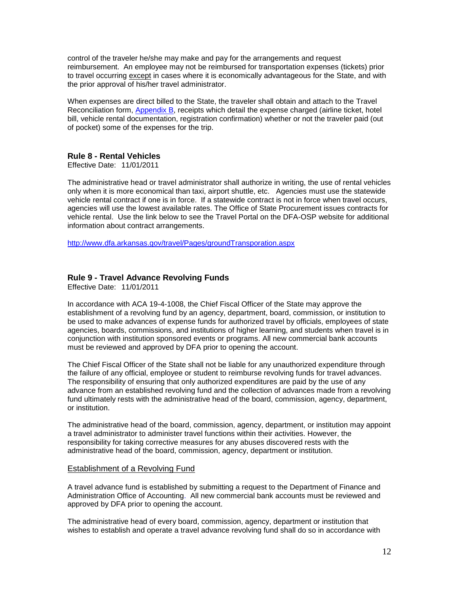control of the traveler he/she may make and pay for the arrangements and request reimbursement. An employee may not be reimbursed for transportation expenses (tickets) prior to travel occurring except in cases where it is economically advantageous for the State, and with the prior approval of his/her travel administrator.

When expenses are direct billed to the State, the traveler shall obtain and attach to the Travel Reconciliation form, [Appendix B,](#page-19-0) receipts which detail the expense charged (airline ticket, hotel bill, vehicle rental documentation, registration confirmation) whether or not the traveler paid (out of pocket) some of the expenses for the trip.

#### <span id="page-11-0"></span>**Rule 8 - Rental Vehicles**

Effective Date: 11/01/2011

The administrative head or travel administrator shall authorize in writing, the use of rental vehicles only when it is more economical than taxi, airport shuttle, etc. Agencies must use the statewide vehicle rental contract if one is in force. If a statewide contract is not in force when travel occurs, agencies will use the lowest available rates. The Office of State Procurement issues contracts for vehicle rental. Use the link below to see the Travel Portal on the DFA-OSP website for additional information about contract arrangements.

<http://www.dfa.arkansas.gov/travel/Pages/groundTransporation.aspx>

#### <span id="page-11-1"></span>**Rule 9 - Travel Advance Revolving Funds**

Effective Date: 11/01/2011

In accordance with ACA 19-4-1008, the Chief Fiscal Officer of the State may approve the establishment of a revolving fund by an agency, department, board, commission, or institution to be used to make advances of expense funds for authorized travel by officials, employees of state agencies, boards, commissions, and institutions of higher learning, and students when travel is in conjunction with institution sponsored events or programs. All new commercial bank accounts must be reviewed and approved by DFA prior to opening the account.

The Chief Fiscal Officer of the State shall not be liable for any unauthorized expenditure through the failure of any official, employee or student to reimburse revolving funds for travel advances. The responsibility of ensuring that only authorized expenditures are paid by the use of any advance from an established revolving fund and the collection of advances made from a revolving fund ultimately rests with the administrative head of the board, commission, agency, department, or institution.

The administrative head of the board, commission, agency, department, or institution may appoint a travel administrator to administer travel functions within their activities. However, the responsibility for taking corrective measures for any abuses discovered rests with the administrative head of the board, commission, agency, department or institution.

#### <span id="page-11-2"></span>Establishment of a Revolving Fund

A travel advance fund is established by submitting a request to the Department of Finance and Administration Office of Accounting. All new commercial bank accounts must be reviewed and approved by DFA prior to opening the account.

The administrative head of every board, commission, agency, department or institution that wishes to establish and operate a travel advance revolving fund shall do so in accordance with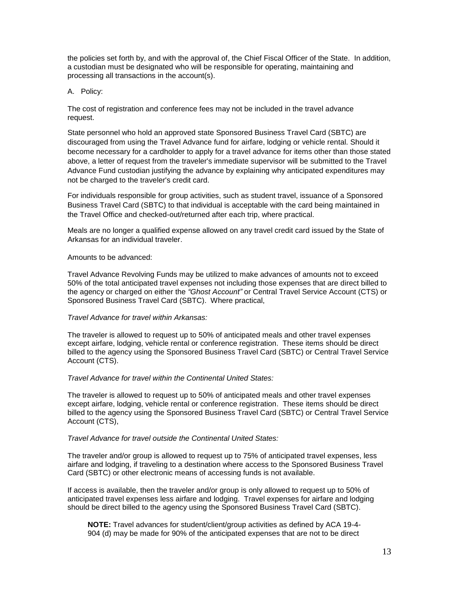the policies set forth by, and with the approval of, the Chief Fiscal Officer of the State. In addition, a custodian must be designated who will be responsible for operating, maintaining and processing all transactions in the account(s).

<span id="page-12-0"></span>A. Policy:

The cost of registration and conference fees may not be included in the travel advance request.

State personnel who hold an approved state Sponsored Business Travel Card (SBTC) are discouraged from using the Travel Advance fund for airfare, lodging or vehicle rental. Should it become necessary for a cardholder to apply for a travel advance for items other than those stated above, a letter of request from the traveler's immediate supervisor will be submitted to the Travel Advance Fund custodian justifying the advance by explaining why anticipated expenditures may not be charged to the traveler's credit card.

For individuals responsible for group activities, such as student travel, issuance of a Sponsored Business Travel Card (SBTC) to that individual is acceptable with the card being maintained in the Travel Office and checked-out/returned after each trip, where practical.

Meals are no longer a qualified expense allowed on any travel credit card issued by the State of Arkansas for an individual traveler.

#### Amounts to be advanced:

Travel Advance Revolving Funds may be utilized to make advances of amounts not to exceed 50% of the total anticipated travel expenses not including those expenses that are direct billed to the agency or charged on either the *"Ghost Account"* or Central Travel Service Account (CTS) or Sponsored Business Travel Card (SBTC). Where practical,

#### *Travel Advance for travel within Arkansas:*

The traveler is allowed to request up to 50% of anticipated meals and other travel expenses except airfare, lodging, vehicle rental or conference registration. These items should be direct billed to the agency using the Sponsored Business Travel Card (SBTC) or Central Travel Service Account (CTS).

#### *Travel Advance for travel within the Continental United States:*

The traveler is allowed to request up to 50% of anticipated meals and other travel expenses except airfare, lodging, vehicle rental or conference registration. These items should be direct billed to the agency using the Sponsored Business Travel Card (SBTC) or Central Travel Service Account (CTS),

#### *Travel Advance for travel outside the Continental United States:*

The traveler and/or group is allowed to request up to 75% of anticipated travel expenses, less airfare and lodging, if traveling to a destination where access to the Sponsored Business Travel Card (SBTC) or other electronic means of accessing funds is not available.

If access is available, then the traveler and/or group is only allowed to request up to 50% of anticipated travel expenses less airfare and lodging. Travel expenses for airfare and lodging should be direct billed to the agency using the Sponsored Business Travel Card (SBTC).

**NOTE:** Travel advances for student/client/group activities as defined by ACA 19-4- 904 (d) may be made for 90% of the anticipated expenses that are not to be direct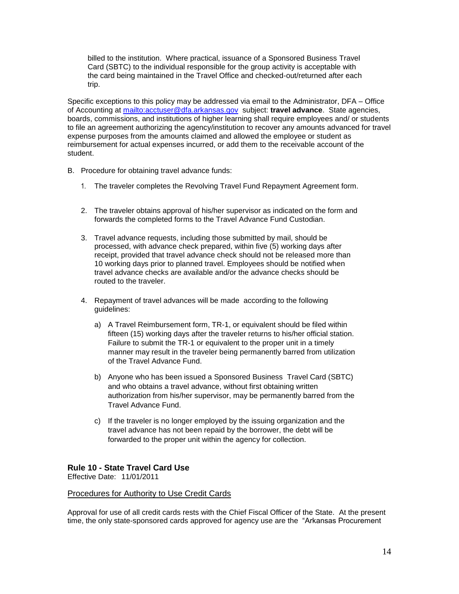billed to the institution. Where practical, issuance of a Sponsored Business Travel Card (SBTC) to the individual responsible for the group activity is acceptable with the card being maintained in the Travel Office and checked-out/returned after each trip.

Specific exceptions to this policy may be addressed via email to the Administrator, DFA – Office of Accounting at<mailto:acctuser@dfa.arkansas.gov> subject: **travel advance**. State agencies, boards, commissions, and institutions of higher learning shall require employees and/ or students to file an agreement authorizing the agency/institution to recover any amounts advanced for travel expense purposes from the amounts claimed and allowed the employee or student as reimbursement for actual expenses incurred, or add them to the receivable account of the student.

- <span id="page-13-0"></span>B. Procedure for obtaining travel advance funds:
	- 1. The traveler completes the Revolving Travel Fund Repayment Agreement form.
	- 2. The traveler obtains approval of his/her supervisor as indicated on the form and forwards the completed forms to the Travel Advance Fund Custodian.
	- 3. Travel advance requests, including those submitted by mail, should be processed, with advance check prepared, within five (5) working days after receipt, provided that travel advance check should not be released more than 10 working days prior to planned travel. Employees should be notified when travel advance checks are available and/or the advance checks should be routed to the traveler.
	- 4. Repayment of travel advances will be made according to the following guidelines:
		- a) A Travel Reimbursement form, TR-1, or equivalent should be filed within fifteen (15) working days after the traveler returns to his/her official station. Failure to submit the TR-1 or equivalent to the proper unit in a timely manner may result in the traveler being permanently barred from utilization of the Travel Advance Fund.
		- b) Anyone who has been issued a Sponsored Business Travel Card (SBTC) and who obtains a travel advance, without first obtaining written authorization from his/her supervisor, may be permanently barred from the Travel Advance Fund.
		- c) If the traveler is no longer employed by the issuing organization and the travel advance has not been repaid by the borrower, the debt will be forwarded to the proper unit within the agency for collection.

#### <span id="page-13-1"></span>**Rule 10 - State Travel Card Use**

Effective Date: 11/01/2011

#### <span id="page-13-2"></span>Procedures for Authority to Use Credit Cards

Approval for use of all credit cards rests with the Chief Fiscal Officer of the State. At the present time, the only state-sponsored cards approved for agency use are the "Arkansas Procurement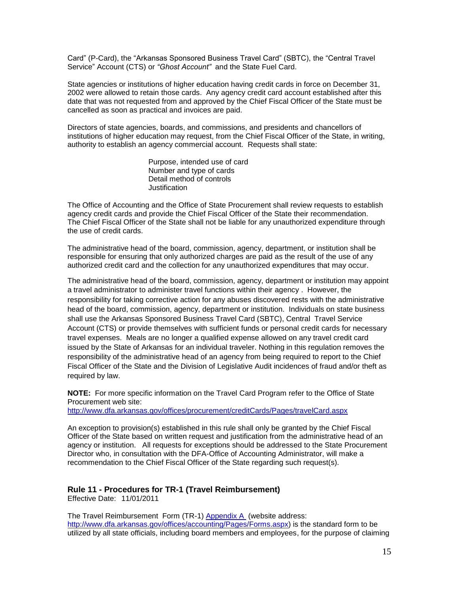Card" (P-Card), the "Arkansas Sponsored Business Travel Card" (SBTC), the "Central Travel Service" Account (CTS) or *"Ghost Account"* and the State Fuel Card.

State agencies or institutions of higher education having credit cards in force on December 31, 2002 were allowed to retain those cards. Any agency credit card account established after this date that was not requested from and approved by the Chief Fiscal Officer of the State must be cancelled as soon as practical and invoices are paid.

Directors of state agencies, boards, and commissions, and presidents and chancellors of institutions of higher education may request, from the Chief Fiscal Officer of the State, in writing, authority to establish an agency commercial account. Requests shall state:

> Purpose, intended use of card Number and type of cards Detail method of controls Justification

The Office of Accounting and the Office of State Procurement shall review requests to establish agency credit cards and provide the Chief Fiscal Officer of the State their recommendation. The Chief Fiscal Officer of the State shall not be liable for any unauthorized expenditure through the use of credit cards.

The administrative head of the board, commission, agency, department, or institution shall be responsible for ensuring that only authorized charges are paid as the result of the use of any authorized credit card and the collection for any unauthorized expenditures that may occur.

The administrative head of the board, commission, agency, department or institution may appoint a travel administrator to administer travel functions within their agency . However, the responsibility for taking corrective action for any abuses discovered rests with the administrative head of the board, commission, agency, department or institution. Individuals on state business shall use the Arkansas Sponsored Business Travel Card (SBTC), Central Travel Service Account (CTS) or provide themselves with sufficient funds or personal credit cards for necessary travel expenses. Meals are no longer a qualified expense allowed on any travel credit card issued by the State of Arkansas for an individual traveler. Nothing in this regulation removes the responsibility of the administrative head of an agency from being required to report to the Chief Fiscal Officer of the State and the Division of Legislative Audit incidences of fraud and/or theft as required by law.

**NOTE:** For more specific information on the Travel Card Program refer to the Office of State Procurement web site:

<http://www.dfa.arkansas.gov/offices/procurement/creditCards/Pages/travelCard.aspx>

An exception to provision(s) established in this rule shall only be granted by the Chief Fiscal Officer of the State based on written request and justification from the administrative head of an agency or institution. All requests for exceptions should be addressed to the State Procurement Director who, in consultation with the DFA-Office of Accounting Administrator, will make a recommendation to the Chief Fiscal Officer of the State regarding such request(s).

## <span id="page-14-0"></span>**Rule 11 - Procedures for TR-1 (Travel Reimbursement)**

Effective Date: 11/01/2011

The Travel Reimbursement Form (TR-1) Appendix A (website address: [http://www.dfa.arkansas.gov/offices/accounting/Pages/Forms.aspx\)](http://www.dfa.arkansas.gov/offices/accounting/Pages/Forms.aspx) is the standard form to be utilized by all state officials, including board members and employees, for the purpose of claiming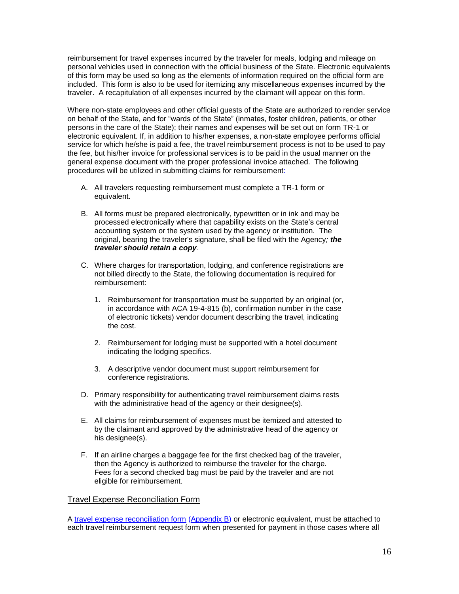reimbursement for travel expenses incurred by the traveler for meals, lodging and mileage on personal vehicles used in connection with the official business of the State. Electronic equivalents of this form may be used so long as the elements of information required on the official form are included. This form is also to be used for itemizing any miscellaneous expenses incurred by the traveler. A recapitulation of all expenses incurred by the claimant will appear on this form.

Where non-state employees and other official guests of the State are authorized to render service on behalf of the State, and for "wards of the State" (inmates, foster children, patients, or other persons in the care of the State); their names and expenses will be set out on form TR-1 or electronic equivalent. If, in addition to his/her expenses, a non-state employee performs official service for which he/she is paid a fee, the travel reimbursement process is not to be used to pay the fee, but his/her invoice for professional services is to be paid in the usual manner on the general expense document with the proper professional invoice attached. The following procedures will be utilized in submitting claims for reimbursement:

- A. All travelers requesting reimbursement must complete a TR-1 form or equivalent.
- B. All forms must be prepared electronically, typewritten or in ink and may be processed electronically where that capability exists on the State's central accounting system or the system used by the agency or institution. The original, bearing the traveler's signature, shall be filed with the Agency*; the traveler should retain a copy.*
- C. Where charges for transportation, lodging, and conference registrations are not billed directly to the State, the following documentation is required for reimbursement:
	- 1. Reimbursement for transportation must be supported by an original (or, in accordance with ACA 19-4-815 (b), confirmation number in the case of electronic tickets) vendor document describing the travel, indicating the cost.
	- 2. Reimbursement for lodging must be supported with a hotel document indicating the lodging specifics.
	- 3. A descriptive vendor document must support reimbursement for conference registrations.
- D. Primary responsibility for authenticating travel reimbursement claims rests with the administrative head of the agency or their designee(s).
- E. All claims for reimbursement of expenses must be itemized and attested to by the claimant and approved by the administrative head of the agency or his designee(s).
- F. If an airline charges a baggage fee for the first checked bag of the traveler, then the Agency is authorized to reimburse the traveler for the charge. Fees for a second checked bag must be paid by the traveler and are not eligible for reimbursement.

#### <span id="page-15-0"></span>Travel Expense Reconciliation Form

A [travel expense reconciliation form](#page-19-0) [\(Appendix B\)](#page-19-0) or electronic equivalent, must be attached to each travel reimbursement request form when presented for payment in those cases where all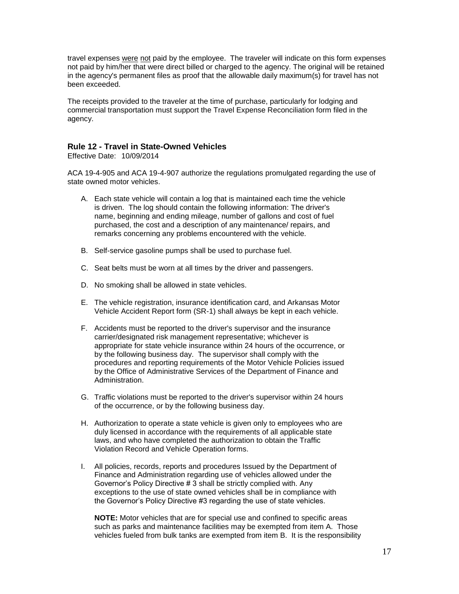travel expenses were not paid by the employee. The traveler will indicate on this form expenses not paid by him/her that were direct billed or charged to the agency. The original will be retained in the agency's permanent files as proof that the allowable daily maximum(s) for travel has not been exceeded.

The receipts provided to the traveler at the time of purchase, particularly for lodging and commercial transportation must support the Travel Expense Reconciliation form filed in the agency.

#### <span id="page-16-0"></span>**Rule 12 - Travel in State-Owned Vehicles**

Effective Date: 10/09/2014

ACA 19-4-905 and ACA 19-4-907 authorize the regulations promulgated regarding the use of state owned motor vehicles.

- A. Each state vehicle will contain a log that is maintained each time the vehicle is driven. The log should contain the following information: The driver's name, beginning and ending mileage, number of gallons and cost of fuel purchased, the cost and a description of any maintenance/ repairs, and remarks concerning any problems encountered with the vehicle.
- B. Self-service gasoline pumps shall be used to purchase fuel.
- C. Seat belts must be worn at all times by the driver and passengers.
- D. No smoking shall be allowed in state vehicles.
- E. The vehicle registration, insurance identification card, and Arkansas Motor Vehicle Accident Report form (SR-1) shall always be kept in each vehicle.
- F. Accidents must be reported to the driver's supervisor and the insurance carrier/designated risk management representative; whichever is appropriate for state vehicle insurance within 24 hours of the occurrence, or by the following business day. The supervisor shall comply with the procedures and reporting requirements of the Motor Vehicle Policies issued by the Office of Administrative Services of the Department of Finance and Administration.
- G. Traffic violations must be reported to the driver's supervisor within 24 hours of the occurrence, or by the following business day.
- H. Authorization to operate a state vehicle is given only to employees who are duly licensed in accordance with the requirements of all applicable state laws, and who have completed the authorization to obtain the Traffic Violation Record and Vehicle Operation forms.
- I. All policies, records, reports and procedures Issued by the Department of Finance and Administration regarding use of vehicles allowed under the Governor's Policy Directive # 3 shall be strictly complied with. Any exceptions to the use of state owned vehicles shall be in compliance with the Governor's Policy Directive #3 regarding the use of state vehicles.

**NOTE:** Motor vehicles that are for special use and confined to specific areas such as parks and maintenance facilities may be exempted from item A. Those vehicles fueled from bulk tanks are exempted from item B. It is the responsibility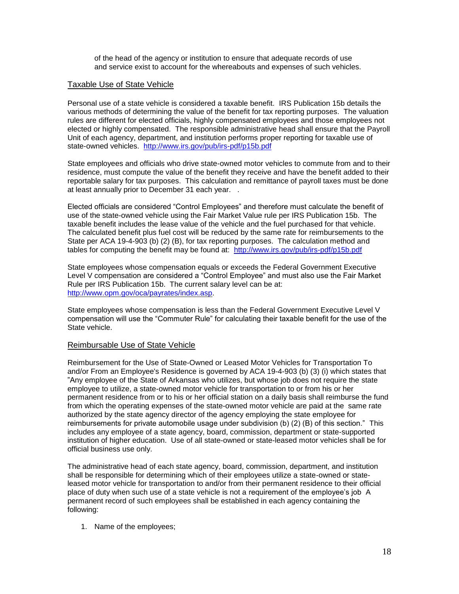of the head of the agency or institution to ensure that adequate records of use and service exist to account for the whereabouts and expenses of such vehicles.

#### <span id="page-17-0"></span>Taxable Use of State Vehicle

Personal use of a state vehicle is considered a taxable benefit. IRS Publication 15b details the various methods of determining the value of the benefit for tax reporting purposes. The valuation rules are different for elected officials, highly compensated employees and those employees not elected or highly compensated. The responsible administrative head shall ensure that the Payroll Unit of each agency, department, and institution performs proper reporting for taxable use of state-owned vehicles. <http://www.irs.gov/pub/irs-pdf/p15b.pdf>

State employees and officials who drive state-owned motor vehicles to commute from and to their residence, must compute the value of the benefit they receive and have the benefit added to their reportable salary for tax purposes. This calculation and remittance of payroll taxes must be done at least annually prior to December 31 each year. .

Elected officials are considered "Control Employees" and therefore must calculate the benefit of use of the state-owned vehicle using the Fair Market Value rule per IRS Publication 15b. The taxable benefit includes the lease value of the vehicle and the fuel purchased for that vehicle. The calculated benefit plus fuel cost will be reduced by the same rate for reimbursements to the State per ACA 19-4-903 (b) (2) (B), for tax reporting purposes. The calculation method and tables for computing the benefit may be found at: <http://www.irs.gov/pub/irs-pdf/p15b.pdf>

State employees whose compensation equals or exceeds the Federal Government Executive Level V compensation are considered a "Control Employee" and must also use the Fair Market Rule per IRS Publication 15b. The current salary level can be at: [http://www.opm.gov/oca/payrates/index.asp.](http://www.opm.gov/oca/payrates/index.asp)

State employees whose compensation is less than the Federal Government Executive Level V compensation will use the "Commuter Rule" for calculating their taxable benefit for the use of the State vehicle.

#### <span id="page-17-1"></span>Reimbursable Use of State Vehicle

Reimbursement for the Use of State-Owned or Leased Motor Vehicles for Transportation To and/or From an Employee's Residence is governed by ACA 19-4-903 (b) (3) (i) which states that "Any employee of the State of Arkansas who utilizes, but whose job does not require the state employee to utilize, a state-owned motor vehicle for transportation to or from his or her permanent residence from or to his or her official station on a daily basis shall reimburse the fund from which the operating expenses of the state-owned motor vehicle are paid at the same rate authorized by the state agency director of the agency employing the state employee for reimbursements for private automobile usage under subdivision (b) (2) (B) of this section." This includes any employee of a state agency, board, commission, department or state-supported institution of higher education. Use of all state-owned or state-leased motor vehicles shall be for official business use only.

The administrative head of each state agency, board, commission, department, and institution shall be responsible for determining which of their employees utilize a state-owned or stateleased motor vehicle for transportation to and/or from their permanent residence to their official place of duty when such use of a state vehicle is not a requirement of the employee's job A permanent record of such employees shall be established in each agency containing the following:

1. Name of the employees;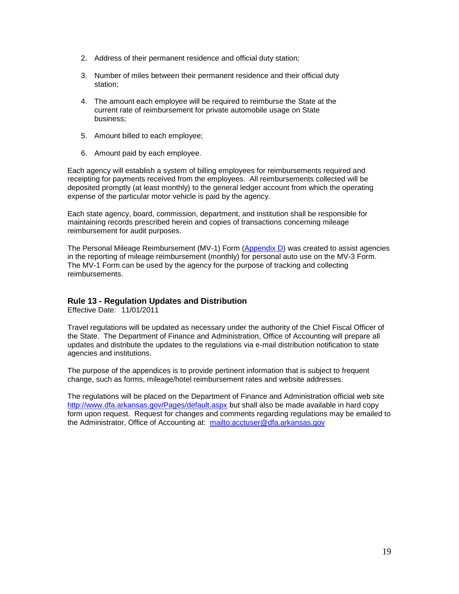- 2. Address of their permanent residence and official duty station;
- 3. Number of miles between their permanent residence and their official duty station;
- 4. The amount each employee will be required to reimburse the State at the current rate of reimbursement for private automobile usage on State business;
- 5. Amount billed to each employee;
- 6. Amount paid by each employee.

Each agency will establish a system of billing employees for reimbursements required and receipting for payments received from the employees. All reimbursements collected will be deposited promptly (at least monthly) to the general ledger account from which the operating expense of the particular motor vehicle is paid by the agency.

Each state agency, board, commission, department, and institution shall be responsible for maintaining records prescribed herein and copies of transactions concerning mileage reimbursement for audit purposes.

The Personal Mileage Reimbursement (MV-1) Form [\(Appendix D\)](#page-19-2) was created to assist agencies in the reporting of mileage reimbursement (monthly) for personal auto use on the MV-3 Form. The MV-1 Form can be used by the agency for the purpose of tracking and collecting reimbursements.

## <span id="page-18-0"></span>**Rule 13 - Regulation Updates and Distribution**

Effective Date: 11/01/2011

Travel regulations will be updated as necessary under the authority of the Chief Fiscal Officer of the State. The Department of Finance and Administration, Office of Accounting will prepare all updates and distribute the updates to the regulations via e-mail distribution notification to state agencies and institutions.

The purpose of the appendices is to provide pertinent information that is subject to frequent change, such as forms, mileage/hotel reimbursement rates and website addresses.

The regulations will be placed on [the Department of Finance and Administration official web site](http://www.state.ar.us/dfa) <http://www.dfa.arkansas.gov/Pages/default.aspx> but shall also be made available in hard copy form upon request. Request for changes and comments regarding regulations may be emailed to the Administrator, Office of Accounting at: <mailto:acctuser@dfa.arkansas.gov>